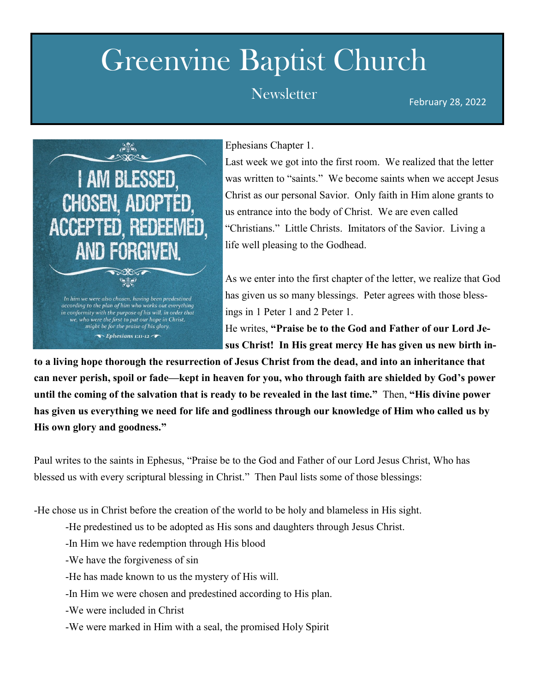## Greenvine Baptist Church

## February 28, 2022 Newsletter



Ephesians Chapter 1.

Last week we got into the first room. We realized that the letter was written to "saints." We become saints when we accept Jesus Christ as our personal Savior. Only faith in Him alone grants to us entrance into the body of Christ. We are even called "Christians." Little Christs. Imitators of the Savior. Living a life well pleasing to the Godhead.

As we enter into the first chapter of the letter, we realize that God has given us so many blessings. Peter agrees with those blessings in 1 Peter 1 and 2 Peter 1.

He writes, **"Praise be to the God and Father of our Lord Jesus Christ! In His great mercy He has given us new birth in-**

**to a living hope thorough the resurrection of Jesus Christ from the dead, and into an inheritance that can never perish, spoil or fade—kept in heaven for you, who through faith are shielded by God's power until the coming of the salvation that is ready to be revealed in the last time."** Then, **"His divine power has given us everything we need for life and godliness through our knowledge of Him who called us by His own glory and goodness."**

Paul writes to the saints in Ephesus, "Praise be to the God and Father of our Lord Jesus Christ, Who has blessed us with every scriptural blessing in Christ." Then Paul lists some of those blessings:

-He chose us in Christ before the creation of the world to be holy and blameless in His sight.

- -He predestined us to be adopted as His sons and daughters through Jesus Christ.
- -In Him we have redemption through His blood
- -We have the forgiveness of sin
- -He has made known to us the mystery of His will.
- -In Him we were chosen and predestined according to His plan.
- -We were included in Christ
- -We were marked in Him with a seal, the promised Holy Spirit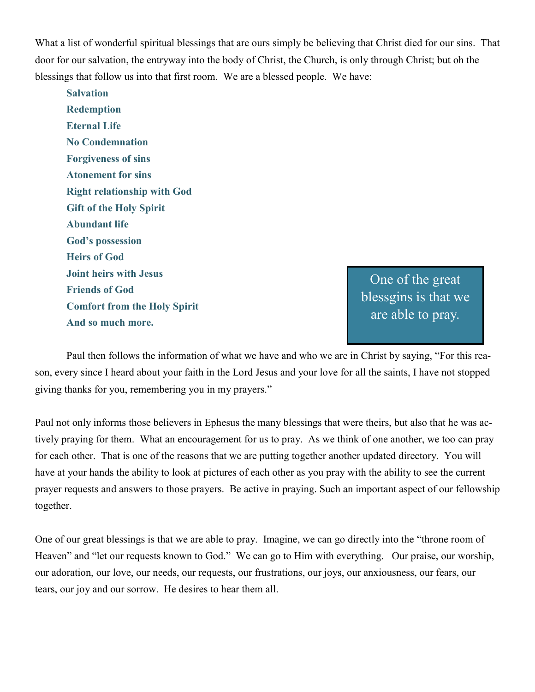What a list of wonderful spiritual blessings that are ours simply be believing that Christ died for our sins. That door for our salvation, the entryway into the body of Christ, the Church, is only through Christ; but oh the blessings that follow us into that first room. We are a blessed people. We have:

**Salvation Redemption Eternal Life No Condemnation Forgiveness of sins Atonement for sins Right relationship with God Gift of the Holy Spirit Abundant life God's possession Heirs of God Joint heirs with Jesus Friends of God Comfort from the Holy Spirit And so much more.**

One of the great blessgins is that we are able to pray.

Paul then follows the information of what we have and who we are in Christ by saying, "For this reason, every since I heard about your faith in the Lord Jesus and your love for all the saints, I have not stopped giving thanks for you, remembering you in my prayers."

Paul not only informs those believers in Ephesus the many blessings that were theirs, but also that he was actively praying for them. What an encouragement for us to pray. As we think of one another, we too can pray for each other. That is one of the reasons that we are putting together another updated directory. You will have at your hands the ability to look at pictures of each other as you pray with the ability to see the current prayer requests and answers to those prayers. Be active in praying. Such an important aspect of our fellowship together.

One of our great blessings is that we are able to pray. Imagine, we can go directly into the "throne room of Heaven" and "let our requests known to God." We can go to Him with everything. Our praise, our worship, our adoration, our love, our needs, our requests, our frustrations, our joys, our anxiousness, our fears, our tears, our joy and our sorrow. He desires to hear them all.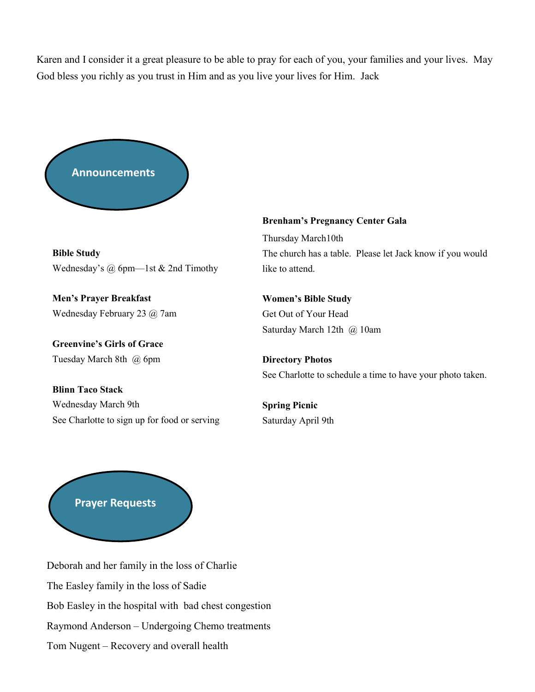Karen and I consider it a great pleasure to be able to pray for each of you, your families and your lives. May God bless you richly as you trust in Him and as you live your lives for Him. Jack



**Bible Study** Wednesday's @ 6pm—1st & 2nd Timothy

**Men's Prayer Breakfast** Wednesday February 23 @ 7am

**Greenvine's Girls of Grace** Tuesday March 8th @ 6pm

**Brenham's Pregnancy Center Gala** 

Thursday March10th The church has a table. Please let Jack know if you would like to attend.

**Women's Bible Study** Get Out of Your Head Saturday March 12th @ 10am

**Directory Photos** See Charlotte to schedule a time to have your photo taken.

**Blinn Taco Stack** Wednesday March 9th See Charlotte to sign up for food or serving

**Spring Picnic** Saturday April 9th



Deborah and her family in the loss of Charlie The Easley family in the loss of Sadie Bob Easley in the hospital with bad chest congestion Raymond Anderson – Undergoing Chemo treatments Tom Nugent – Recovery and overall health